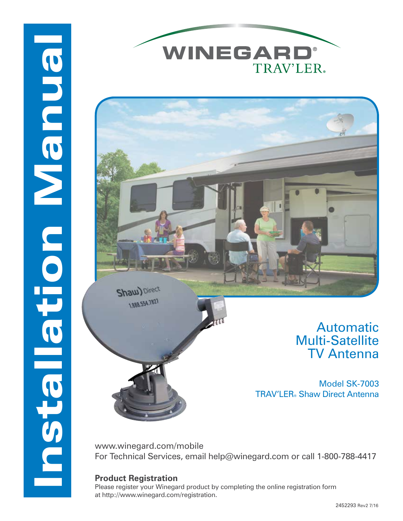





www.winegard.com/mobile For Technical Services, email help@winegard.com or call 1-800-788-4417

### **Product Registration**

Please register your Winegard product by completing the online registration form at http://www.winegard.com/registration.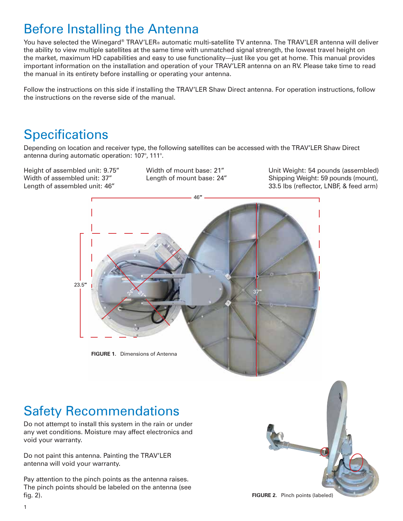### Before Installing the Antenna

You have selected the Winegard® TRAV'LER® automatic multi-satellite TV antenna. The TRAV'LER antenna will deliver the ability to view multiple satellites at the same time with unmatched signal strength, the lowest travel height on the market, maximum HD capabilities and easy to use functionality—just like you get at home. This manual provides important information on the installation and operation of your TRAV'LER antenna on an RV. Please take time to read the manual in its entirety before installing or operating your antenna.

Follow the instructions on this side if installing the TRAV'LER Shaw Direct antenna. For operation instructions, follow the instructions on the reverse side of the manual.

### **Specifications**

Depending on location and receiver type, the following satellites can be accessed with the TRAV'LER Shaw Direct antenna during automatic operation: 107°, 111°.

Height of assembled unit: 9.75" Width of assembled unit: 37" Length of assembled unit: 46"

Width of mount base: 21" Length of mount base: 24" Unit Weight: 54 pounds (assembled) Shipping Weight: 59 pounds (mount), 33.5 lbs (reflector, LNBF, & feed arm)



# Safety Recommendations

Do not attempt to install this system in the rain or under any wet conditions. Moisture may affect electronics and void your warranty.

Do not paint this antenna. Painting the TRAV'LER antenna will void your warranty.

Pay attention to the pinch points as the antenna raises. The pinch points should be labeled on the antenna (see fig. 2).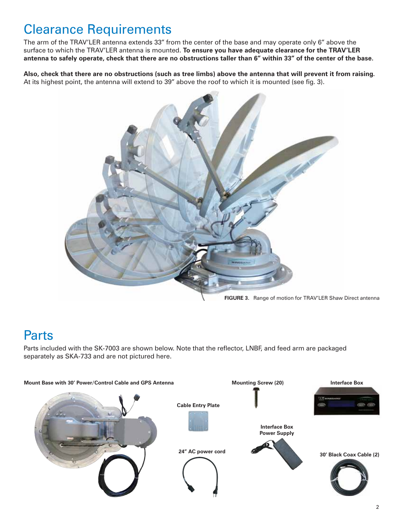### Clearance Requirements

The arm of the TRAV'LER antenna extends 33" from the center of the base and may operate only 6" above the surface to which the TRAV'LER antenna is mounted. **To ensure you have adequate clearance for the TRAV'LER antenna to safely operate, check that there are no obstructions taller than 6" within 33" of the center of the base.** 

**Also, check that there are no obstructions (such as tree limbs) above the antenna that will prevent it from raising.** At its highest point, the antenna will extend to 39" above the roof to which it is mounted (see fig. 3).



**FIGURE 3.** Range of motion for TRAV'LER Shaw Direct antenna

### Parts

Parts included with the SK-7003 are shown below. Note that the reflector, LNBF, and feed arm are packaged separately as SKA-733 and are not pictured here.

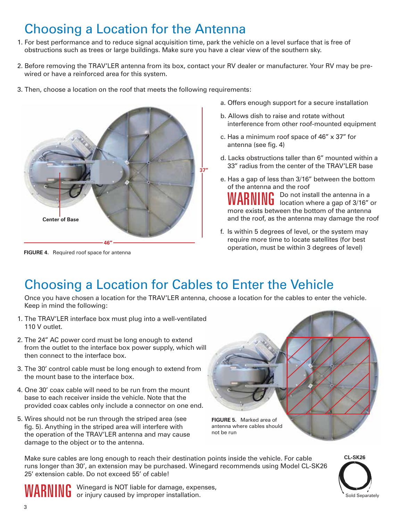## Choosing a Location for the Antenna

- 1. For best performance and to reduce signal acquisition time, park the vehicle on a level surface that is free of obstructions such as trees or large buildings. Make sure you have a clear view of the southern sky.
- 2. Before removing the TRAV'LER antenna from its box, contact your RV dealer or manufacturer. Your RV may be prewired or have a reinforced area for this system.
- 3. Then, choose a location on the roof that meets the following requirements:



**FIGURE 4.** Required roof space for antenna

- a. Offers enough support for a secure installation
- b. Allows dish to raise and rotate without interference from other roof-mounted equipment
- c. Has a minimum roof space of 46" x 37" for antenna (see fig. 4)
- d. Lacks obstructions taller than 6" mounted within a 33" radius from the center of the TRAV'LER base
- e. Has a gap of less than 3/16" between the bottom of the antenna and the roof

WARNING Do not install the antenna in a<br>WARNING location where a gap of 3/16" or more exists between the bottom of the antenna and the roof, as the antenna may damage the roof

f. Is within 5 degrees of level, or the system may require more time to locate satellites (for best operation, must be within 3 degrees of level)

### Choosing a Location for Cables to Enter the Vehicle

Once you have chosen a location for the TRAV'LER antenna, choose a location for the cables to enter the vehicle. Keep in mind the following:

- 1. The TRAV'LER interface box must plug into a well-ventilated 110 V outlet.
- 2. The 24" AC power cord must be long enough to extend from the outlet to the interface box power supply, which will then connect to the interface box.
- 3. The 30' control cable must be long enough to extend from the mount base to the interface box.
- 4. One 30' coax cable will need to be run from the mount base to each receiver inside the vehicle. Note that the provided coax cables only include a connector on one end.
- 5. Wires should not be run through the striped area (see fig. 5). Anything in the striped area will interfere with the operation of the TRAV'LER antenna and may cause damage to the object or to the antenna.



**CL-SK26**

Sold Separately

Make sure cables are long enough to reach their destination points inside the vehicle. For cable runs longer than 30', an extension may be purchased. Winegard recommends using Model CL-SK26 25' extension cable. Do not exceed 55' of cable!

WARNING Winegard is NOT liable for damage, expenses, WARNING or injury caused by improper installation.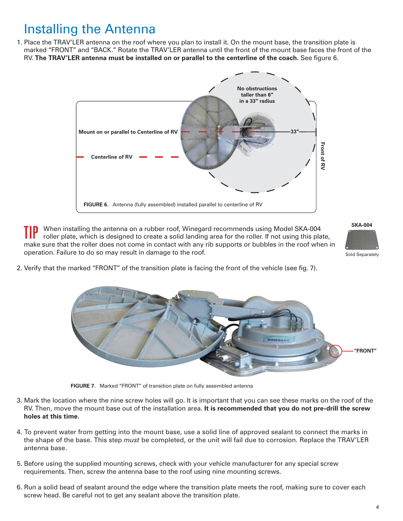### Installing the Antenna

1. Place the TRAV'LER antenna on the roof where you plan to install it. On the mount base, the transition plate is marked "FRONT" and "BACK." Rotate the TRAV'LER antenna until the front of the mount base faces the front of the RV. **The TRAV'LER antenna must be installed on or parallel to the centerline of the coach.** See figure 6.



When installing the antenna on a rubber roof, Winegard recommends using Model SKA-004 roller plate, which is designed to create a solid landing area for the roller. If not using this plate, make sure that the roller does not come in contact with any rib supports or bubbles in the roof when in operation. Failure to do so may result in damage to the roof.

**SKA-004**



2. Verify that the marked "FRONT" of the transition plate is facing the front of the vehicle (see fig. 7).



**FIGURE 7.** Marked "FRONT" of transition plate on fully assembled antenna

- 3. Mark the location where the nine screw holes will go. It is important that you can see these marks on the roof of the RV. Then, move the mount base out of the installation area. **It is recommended that you do not pre-drill the screw holes at this time.**
- 4. To prevent water from getting into the mount base, use a solid line of approved sealant to connect the marks in the shape of the base. This step *must* be completed, or the unit will fail due to corrosion. Replace the TRAV'LER antenna base.
- 5. Before using the supplied mounting screws, check with your vehicle manufacturer for any special screw requirements. Then, screw the antenna base to the roof using nine mounting screws.
- 6. Run a solid bead of sealant around the edge where the transition plate meets the roof, making sure to cover each screw head. Be careful not to get any sealant above the transition plate.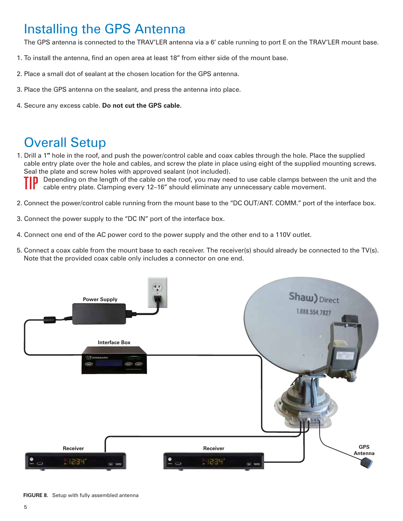### Installing the GPS Antenna

The GPS antenna is connected to the TRAV'LER antenna via a 6' cable running to port E on the TRAV'LER mount base.

- 1. To install the antenna, find an open area at least 18" from either side of the mount base.
- 2. Place a small dot of sealant at the chosen location for the GPS antenna.
- 3. Place the GPS antenna on the sealant, and press the antenna into place.
- 4. Secure any excess cable. **Do not cut the GPS cable.**

### Overall Setup

1. Drill a 1**″** hole in the roof, and push the power/control cable and coax cables through the hole. Place the supplied cable entry plate over the hole and cables, and screw the plate in place using eight of the supplied mounting screws. Seal the plate and screw holes with approved sealant (not included).

**D** Depending on the length of the cable on the roof, you may need to use cable clamps between the unit and the cable entry plate. Clamping every 12–16" should eliminate any unnecessary cable movement.

- 2. Connect the power/control cable running from the mount base to the "DC OUT/ANT. COMM." port of the interface box.
- 3. Connect the power supply to the "DC IN" port of the interface box.
- 4. Connect one end of the AC power cord to the power supply and the other end to a 110V outlet.
- 5. Connect a coax cable from the mount base to each receiver. The receiver(s) should already be connected to the TV(s). Note that the provided coax cable only includes a connector on one end.



**FIGURE 8.** Setup with fully assembled antenna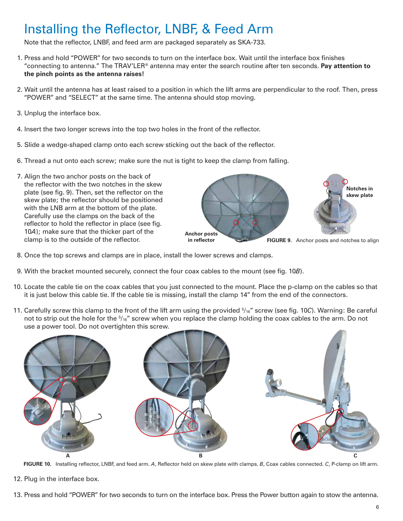## Installing the Reflector, LNBF, & Feed Arm

Note that the reflector, LNBF, and feed arm are packaged separately as SKA-733.

- 1. Press and hold "POWER" for two seconds to turn on the interface box. Wait until the interface box finishes "connecting to antenna." The TRAV'LER® antenna may enter the search routine after ten seconds. **Pay attention to the pinch points as the antenna raises!**
- 2. Wait until the antenna has at least raised to a position in which the lift arms are perpendicular to the roof. Then, press "POWER" and "SELECT" at the same time. The antenna should stop moving.
- 3. Unplug the interface box.
- 4. Insert the two longer screws into the top two holes in the front of the reflector.
- 5. Slide a wedge-shaped clamp onto each screw sticking out the back of the reflector.
- 6. Thread a nut onto each screw; make sure the nut is tight to keep the clamp from falling.
- 7. Align the two anchor posts on the back of the reflector with the two notches in the skew plate (see fig. 9). Then, set the reflector on the skew plate; the reflector should be positioned with the LNB arm at the bottom of the plate. Carefully use the clamps on the back of the reflector to hold the reflector in place (see fig. 10*A*); make sure that the thicker part of the clamp is to the outside of the reflector.



- 8. Once the top screws and clamps are in place, install the lower screws and clamps.
- 9. With the bracket mounted securely, connect the four coax cables to the mount (see fig. 10*B*).
- 10. Locate the cable tie on the coax cables that you just connected to the mount. Place the p-clamp on the cables so that it is just below this cable tie. If the cable tie is missing, install the clamp 14" from the end of the connectors.
- 11. Carefully screw this clamp to the front of the lift arm using the provided 5 /16" screw (see fig. 10*C*). Warning: Be careful not to strip out the hole for the  $\frac{5}{16}$ " screw when you replace the clamp holding the coax cables to the arm. Do not use a power tool. Do not overtighten this screw.



**FIGURE 10.** Installing reflector, LNBF, and feed arm. *A*, Reflector held on skew plate with clamps. *B*, Coax cables connected. *C*, P-clamp on lift arm.

- 12. Plug in the interface box.
- 13. Press and hold "POWER" for two seconds to turn on the interface box. Press the Power button again to stow the antenna.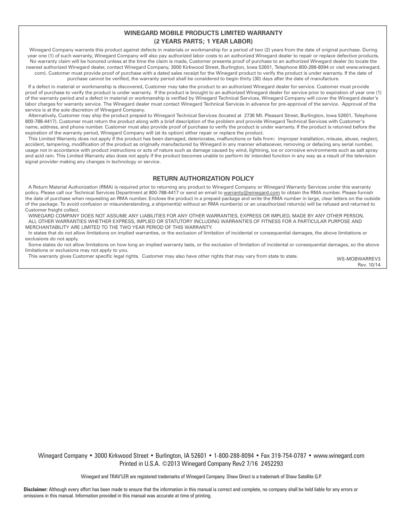#### **WINEGARD MOBILE PRODUCTS LIMITED WARRANTY (2 YEARS PARTS; 1 YEAR LABOR)**

Winegard Company warrants this product against defects in materials or workmanship for a period of two (2) years from the date of original purchase. During year one (1) of such warranty, Winegard Company will also pay authorized labor costs to an authorized Winegard dealer to repair or replace defective products. No warranty claim will be honored unless at the time the claim is made, Customer presents proof of purchase to an authorized Winegard dealer (to locate the nearest authorized Winegard dealer, contact Winegard Company, 3000 Kirkwood Street, Burlington, Iowa 52601, Telephone 800-288-8094 or visit www.winegard. com). Customer must provide proof of purchase with a dated sales receipt for the Winegard product to verify the product is under warranty. If the date of purchase cannot be verified, the warranty period shall be considered to begin thirty (30) days after the date of manufacture.

If a defect in material or workmanship is discovered, Customer may take the product to an authorized Winegard dealer for service. Customer must provide proof of purchase to verify the product is under warranty. If the product is brought to an authorized Winegard dealer for service prior to expiration of year one (1) of the warranty period and a defect in material or workmanship is verified by Winegard Technical Services, Winegard Company will cover the Winegard dealer's labor charges for warranty service. The Winegard dealer must contact Winegard Technical Services in advance for pre-approval of the service. Approval of the service is at the sole discretion of Winegard Company.

Alternatively, Customer may ship the product prepaid to Winegard Technical Services (located at 2736 Mt. Pleasant Street, Burlington, Iowa 52601, Telephone 800-788-4417). Customer must return the product along with a brief description of the problem and provide Winegard Technical Services with Customer's name, address, and phone number. Customer must also provide proof of purchase to verify the product is under warranty. If the product is returned before the expiration of the warranty period, Winegard Company will (at its option) either repair or replace the product.

This Limited Warranty does not apply if the product has been damaged, deteriorates, malfunctions or fails from: improper installation, misuse, abuse, neglect, accident, tampering, modification of the product as originally manufactured by Winegard in any manner whatsoever, removing or defacing any serial number, usage not in accordance with product instructions or acts of nature such as damage caused by wind, lightning, ice or corrosive environments such as salt spray and acid rain. This Limited Warranty also does not apply if the product becomes unable to perform its' intended function in any way as a result of the television signal provider making any changes in technology or service.

#### **RETURN AUTHORIZATION POLICY**

A Return Material Authorization (RMA) is required prior to returning any product to Winegard Company or Winegard Warranty Services under this warranty policy. Please call our Technical Services Department at 800-788-4417 or send an email to warranty@winegard.com to obtain the RMA number. Please furnish the date of purchase when requesting an RMA number. Enclose the product in a prepaid package and write the RMA number in large, clear letters on the outside of the package. To avoid confusion or misunderstanding, a shipment(s) without an RMA number(s) or an unauthorized return(s) will be refused and returned to Customer freight collect.

WINEGARD COMPANY DOES NOT ASSUME ANY LIABILITIES FOR ANY OTHER WARRANTIES, EXPRESS OR IMPLIED, MADE BY ANY OTHER PERSON. ALL OTHER WARRANTIES WHETHER EXPRESS, IMPLIED OR STATUTORY INCLUDING WARRANTIES OF FITNESS FOR A PARTICULAR PURPOSE AND MERCHANTABILITY ARE LIMITED TO THE TWO YEAR PERIOD OF THIS WARRANTY.

In states that do not allow limitations on implied warranties, or the exclusion of limitation of incidental or consequential damages, the above limitations or exclusions do not apply.

Some states do not allow limitations on how long an implied warranty lasts, or the exclusion of limitation of incidental or consequential damages, so the above limitations or exclusions may not apply to you.

This warranty gives Customer specific legal rights. Customer may also have other rights that may vary from state to state.WS-MOBWARREV3

Rev. 10/14

Winegard Company • 3000 Kirkwood Street • Burlington, IA 52601 • 1-800-288-8094 • Fax 319-754-0787 • www.winegard.com Printed in U.S.A. ©2013 Winegard Company Rev2 7/16 2452293

Winegard and TRAV'LER are registered trademarks of Winegard Company. Shaw Direct is a trademark of Shaw Satellite G.P.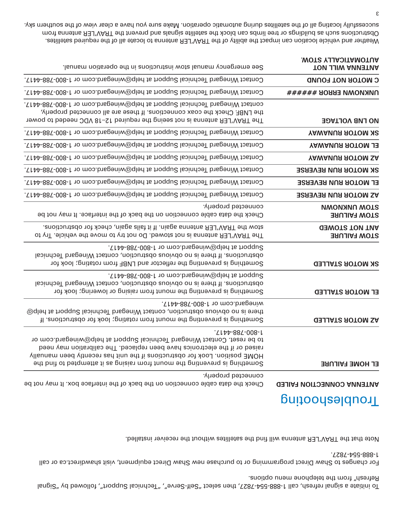To initiate a signal refresh, call 1-888-554-7827, then select "Self-Serve", "Technical Support", followed by "Signal Refresh" from the telephone menu options.

For changes to Shaw Direct programming or to purchase new Shaw Direct equipment, visit shawdirect.ca or call 1-888-554-7827.

Note that the TRAV'LER antenna will find the satellites without the receiver installed.

### Troubleshooting

| <b>WOTS YJJAJITAMOTUA</b><br><b>TON JJIW ANNETNA</b> | See emergency manual stow instructions in the operation manual.                                                                                                                                                                                                                                                                  |
|------------------------------------------------------|----------------------------------------------------------------------------------------------------------------------------------------------------------------------------------------------------------------------------------------------------------------------------------------------------------------------------------|
| <b>C MOTOR NOT FOUND</b>                             | .T144-88T-008-1 10 moo.b1speniw@qled ts t1oqqu2 lsoindoeT b1speniW tostnoO                                                                                                                                                                                                                                                       |
| $\bigcap_{k=1}^{n}$ NIKIOMIN EKKOK #####             | Contact Winegard Technical Support at help@winegard.com or 1-800-788-4417.                                                                                                                                                                                                                                                       |
| <b>NO LNB VOLTAGE</b>                                | .T144-88T-008-1 10 moo.b1speniw@qled 1s hoqqu2 lsoindoeT b1speniW 10stnoo<br>the LNBF. Check the coax connections. If these are all connected properly,<br>The TRAV'LER antenna is not seeing the required 12-18 VDC needed to power                                                                                             |
| YAWANUR ROTOM N2                                     | Contact Winegard Technical Support at help@winegard.com or 1-800-788-4417.                                                                                                                                                                                                                                                       |
| <b>YAWANUR ROTOM J3</b>                              | Contact Winegard Technical Support at help@winegard.com or 1-800-788-4417.                                                                                                                                                                                                                                                       |
| <b>YAWANUR ROTOM SA</b>                              | Contact Winegard Technical Support at help@winegard.com or 1-800-788-4417.                                                                                                                                                                                                                                                       |
| SK MOTOR RUN REVERSE                                 | Contact Winegard Technical Support at help@winegard.com or 1-800-788-4417.                                                                                                                                                                                                                                                       |
| EL MOTOR RUN REVERSE                                 | Contact Winegard Technical Support at help@winegard.com or 1-800-788-4417.                                                                                                                                                                                                                                                       |
| <b>AZ MOTOR RUN REVERSE</b>                          | Contact Winegard Technical Support at help@winegard.com or 1-800-788-4417.                                                                                                                                                                                                                                                       |
| <b>STOW UNKNOWN</b><br><b>STOW FAILURE</b>           | connected properly.<br>Check the data cable connection on the back of the interface. It may not be                                                                                                                                                                                                                               |
| <b>GEWOTS TOW TUA</b><br><b>STOW FAILURE</b>         | .anoitoutado 101 Abenta aliat it il .niaga annesta H3J'VART edt wota<br>of yil .albidev edt evom of yit ton od .bewota ton ai snnetns R3J'VART edT                                                                                                                                                                               |
| <b>SK MOTOR STALLED</b>                              | . T144-887-008-1 10 moo.b1speniw@qled ts t10qqu2<br>lsoindoel brageniW toshoo, noitourado auoivdo on ai etent al achnical<br>Something is preventing the reflector and LNBF from rotating; look for                                                                                                                              |
| <b>EL MOTOR STALLED</b>                              | . T144-887-008-1 10 moo.b1speniw@qled ts t10qqu2<br>lsoindoeT b1speniW tostnoo, noitoutado auoivdo on ai etent 11 .anoitoutal<br>Something is preventing the mount from raising or lowering; look for                                                                                                                            |
| <b>GELLED STALLED</b>                                | .T144-88T-008-1 10 moo.b1sgeniw<br>there is no obvious delaytion, contact Winegard Technical Support at help@<br>Something is preventing the mount from rotating; look for obstructions. If                                                                                                                                      |
| EL HOME FAILURE                                      | .1144-887-008-1<br>to be reset. Contact Winegard Technical Support at help@winegard.com or<br>taised or if the electronics have been replaced. The calibration may need<br>HOME position. Look for obstructions if the unit has recently been manually<br>Something is preventing the mount from raising as priments to find the |
| <b>ANTENNA CONNECTION FAILED</b>                     | connected properly.<br>Gheck the data cable connection on the back of the interface box. It may not be                                                                                                                                                                                                                           |

Weather and vehicle location can impact the ability of the TRAV'LER antenna to locate all of the required satellites. Obstructions such as buildings or tree limbs can block the satellite signals and prevent the TRAV'LER antenna from successfully locating all of the satellites during automatic operation. Make sure you have a clear view of the southern sky.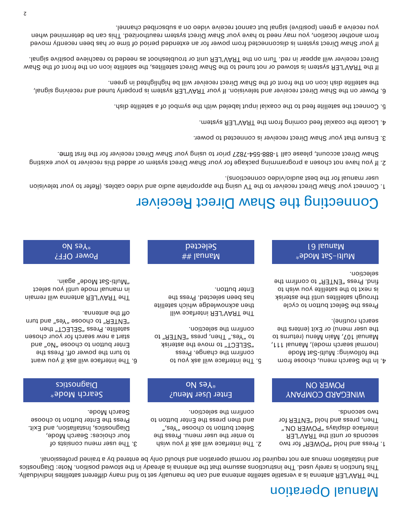## Manual Operation

The TRAV'LEB antisty is a finity and the sate that the manustors in the manuscule with mands in the manus and the manuscule and will sattled in while the manuscule manuscule will be visted in the manuscule will be visted i This function is rarely used. The instructions assume that the antenna is already in the stowed position. Note: Diagnostics and Installation menus are not required for normal operation and should only be entered by a trained professional.

2. The interface will ask if you wish to enter the user menu. Press the Select button to choose "Yes," and then press the Enter button to

confirm the selection.

5. The interface will ask you to confirm the change. Press "SELECT" to move the asterisk to "Yes." Then, press "ENTER" to

confirm the selection.

Enter button.

The TRAV'LER interface will then acknowledge which satellite has been selected. Press the

> Enter User Menu? \*Yes No

> > 1. Press and hold "POWER" for two seconds or until the TRAV'LER interface displays "POWER ON." Then, press and hold "ENTER for two seconds.

WINEGARD COMPANY POWER ON

4. In the Search menu, choose from the following: Multi-Sat Mode (normal search mode), Manual 111, Manual 107, Main Menu (returns to the user menu) or Exit (enters the search routine).

Press the Select button to cycle through satellites until the asterisk is next to the satellite you wish to find. Press "ENTER" to confirm the selection.

Multi-Sat Mode\* Manual 61

Manual ## Selected

Power OFF? oN seY\*

The TRAV'LER antenna will remain in manual mode nutil yon select

> Search Mode\* Diagnostics

6. The interface will ask if you want to turn the power off. Press the Enter button to choose "No" and start a new search for your chosen satellite. Press "SELECT" then "ENTER" to choose "Yes" and turn

3. The user menu consists of four choices: Search Mode, Diagnostics, Installation, and Exit. Press the Enter button to choose

Search Mode.

off the antenna.

"Multi-Sat Mode" again.

# Connecting the Shaw Direct Receiver

- 1. Connect your Shaw Direct receiver to the TV using the appropriate audio and video cables. (Refer to your television user manual for the best audio/video connections).
- 2. If you have not chosen a programming package for your Shaw Direct system or added this receiver to your existing Shaw Direct account, please call 1-888-554-7887 prior to using your Shaw Direct receiver to the firm,
- 3. Ensure that your Shaw Direct receiver is connected to power.
- 4. Locate the coaxial feed coming from the TRAV'LER system.
- 5. Connect the satellite feed to the coaxial input labeled with the symbol of a satellite dish.
- 6. Power on the Shaw Direct receiver and television. If your TRAV'LER system is properly tuned and receiving signal, the satellite dish icon on the front of the Shaw Direct receiver will be highlighted in green.

If the TRAV'LER system is stowed or not tuned to the Shaw Direct satellites, the satellite icon on the front of the Shaw Direct receiver will appear in red. Turn on the TRAV'LER unit or troubleshoot as needed to reachieve positive signal.

If your Shaw Direct system is disconnected from power for an extended period of time or has been recently moved from another location, you may need to have your Shaw Direct system reauthorized. This can be determined when you receive a green (positive) signal but cannot receive video on a subscribed channel.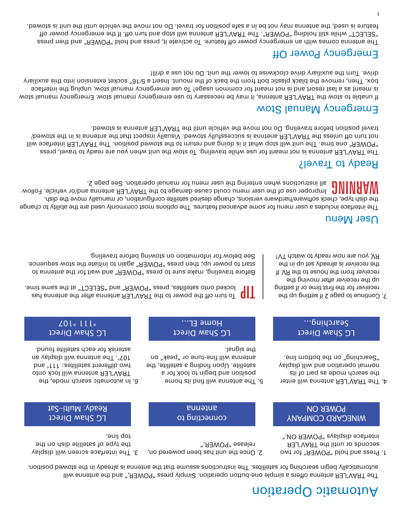### Automatic Operation

The TRAV'LER antenna offers a simple one-button operation. Simply press "POWER," and the antenna will automatically begin searching for satellites. The instructions assume that the antenna is already in the stowed position.

2. Once the unit has been powered on,

release "POWER."

connecting to antenna

5. The antenna will find its home position and begin to look for a satellite. Upon finding a satellite, the antenna will fine-tune or "peak" on

the signal.

LG Shaw Direct Home EL...

> 1. Press and hold "POWER" for two seconds or until the TRAV'LER interface displays "POWER ON."

WINEGARD COMPANY POWER ON

4. The TRAV'LER antenna will enter the search mode as part of its normal operation and will display "Searching" on the bottom line.

LG Shaw Direct Searching...

7. Continue to page 2 if setting up the receiver for the first time or if setting up the receiver after moving the receiver from the house to the RV. If the receiver is already set up in the RV, you are now ready to watch TV!

### User Menu

The interface includes a user menu for some advanced features. The options most commonly used are the ability to change the dish type, check software/hardware versions, change desired satellite configuration, or manually move the dish. WARINING all instructions when entering the user menu for manual operation. See page 2.<br>WARINING Interiorer use of the user menu could cause damage to the TRAV'LER antenna and/or vehicle. Follow

### Ready to Travel?

The TRAV'LER antenna is not meant for use while traveling. To stow the unit when you are ready to travel, press "POWER" one time. The unit will stop what it is doing and return to the stowed position. The TRAV'LER interface will not turn off unless the TRAV'LER anetnna is successfully stowed. Visually inspect that the antenna is in the stowed/ travel position before traveling. Do not move the vehicle until the TRAV'LER antenna is stowed.

### Emergency Manual Stow

If unable to stow the TRAV'LER antenna, it may be necessary to use emergency manual stow. Emergency manual stow is meant as a last resort and is not meant for common usage! To use emergency manual stow, unplug the interface box. Then, remove the black plastic bolt from the back of the mount. Insert a 5/16" socket extension into this auxiliary drive. Turn the auxiliary drive clockwise to lower the unit. Do not use a drill!

### Emergency Power Off

The antenna comes with an emergency power off feature. To activate it, press and hold "POWER" and then press "SELECT" while still holding "POWER". The TRAV'LER antenna will stop and turn off. If the emergency power off feature is used, the antenna may not be in a safe booking or travel. Do not move the vehicle until the stowed.

TIP To turn off the power to the TRAV'LER and enter the antenna has locked onto satellites, press "POWER" and "SELECT" at the same time.

LG Shaw Direct Ready: Multi-Sat

3. The interface screen will display the type of satellite dish on the

top line.

6. In automatic search mode, the TRAV'LER antenna will lock onto two different satellites: 111° and 107°. The antenna will display an asterisk for each satellite found.

LG Shaw Direct \*111 \*107

Before traveling, make sure to press "POWER" and wait for the antenna to start to power up; then press "POWER" again to initiate the stow sequence. See below for information on stowing before traveling.